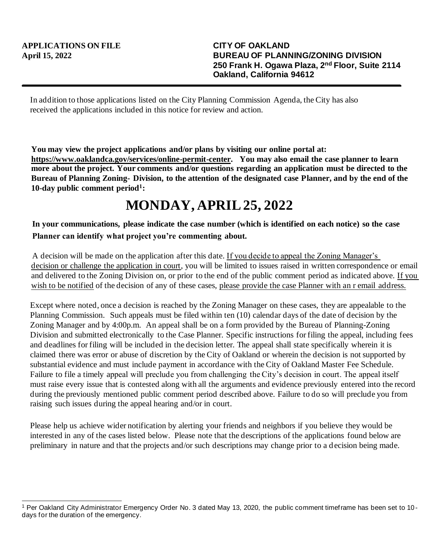In addition to those applications listed on the City Planning Commission Agenda, the City has also received the applications included in this notice for review and action.

**You may view the project applications and/or plans by visiting our online portal at: https://www.oaklandca.gov/services/online-permit-center. You may also email the case planner to learn more about the project. Your comments and/or questions regarding an application must be directed to the Bureau of Planning Zoning- Division, to the attention of the designated case Planner, and by the end of the 10-day public comment period<sup>1</sup> :**

## **MONDAY, APRIL 25, 2022**

## **In your communications, please indicate the case number (which is identified on each notice) so the case Planner can identify what project you're commenting about.**

A decision will be made on the application after this date. If you decide to appeal the Zoning Manager's decision or challenge the application in court, you will be limited to issues raised in written correspondence or email and delivered to the Zoning Division on, or prior to the end of the public comment period as indicated above. If you wish to be notified of the decision of any of these cases, please provide the case Planner with an r email address.

Except where noted, once a decision is reached by the Zoning Manager on these cases, they are appealable to the Planning Commission. Such appeals must be filed within ten (10) calendar days of the date of decision by the Zoning Manager and by 4:00p.m. An appeal shall be on a form provided by the Bureau of Planning-Zoning Division and submitted electronically to the Case Planner. Specific instructions for filing the appeal, including fees and deadlines for filing will be included in the decision letter. The appeal shall state specifically wherein it is claimed there was error or abuse of discretion by the City of Oakland or wherein the decision is not supported by substantial evidence and must include payment in accordance with the City of Oakland Master Fee Schedule. Failure to file a timely appeal will preclude you from challenging the City's decision in court. The appeal itself must raise every issue that is contested along with all the arguments and evidence previously entered into the record during the previously mentioned public comment period described above. Failure to do so will preclude you from raising such issues during the appeal hearing and/or in court.

Please help us achieve wider notification by alerting your friends and neighbors if you believe they would be interested in any of the cases listed below. Please note that the descriptions of the applications found below are preliminary in nature and that the projects and/or such descriptions may change prior to a d ecision being made.

<sup>1</sup> Per Oakland City Administrator Emergency Order No. 3 dated May 13, 2020, the public comment timeframe has been set to 10 days for the duration of the emergency.